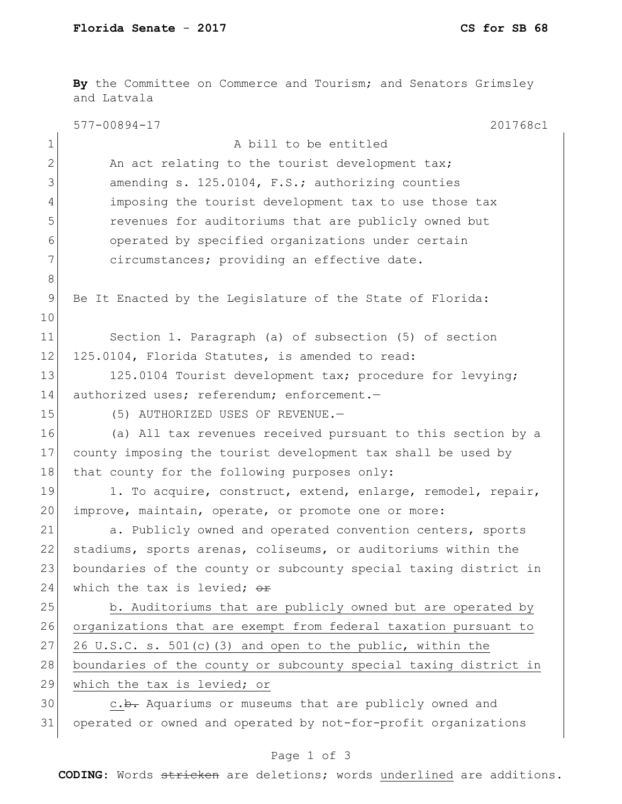8

10

**By** the Committee on Commerce and Tourism; and Senators Grimsley and Latvala 577-00894-17 201768c1 Page 1 of 3 **CODING**: Words stricken are deletions; words underlined are additions. 1 a bill to be entitled 2 An act relating to the tourist development tax; 3 amending s. 125.0104, F.S.; authorizing counties 4 imposing the tourist development tax to use those tax 5 revenues for auditoriums that are publicly owned but 6 operated by specified organizations under certain 7 circumstances; providing an effective date. 9 Be It Enacted by the Legislature of the State of Florida: 11 Section 1. Paragraph (a) of subsection (5) of section 12 125.0104, Florida Statutes, is amended to read: 13 125.0104 Tourist development tax; procedure for levying; 14 authorized uses; referendum; enforcement.-15 (5) AUTHORIZED USES OF REVENUE. 16 (a) All tax revenues received pursuant to this section by a 17 county imposing the tourist development tax shall be used by 18 that county for the following purposes only: 19 1. To acquire, construct, extend, enlarge, remodel, repair, 20 improve, maintain, operate, or promote one or more: 21 a. Publicly owned and operated convention centers, sports 22 stadiums, sports arenas, coliseums, or auditoriums within the 23 boundaries of the county or subcounty special taxing district in 24 which the tax is levied;  $\sigma$ 25 b. Auditoriums that are publicly owned but are operated by 26 organizations that are exempt from federal taxation pursuant to 27 26 U.S.C. s. 501(c)(3) and open to the public, within the 28 boundaries of the county or subcounty special taxing district in 29 which the tax is levied; or 30 c.b. Aquariums or museums that are publicly owned and 31 operated or owned and operated by not-for-profit organizations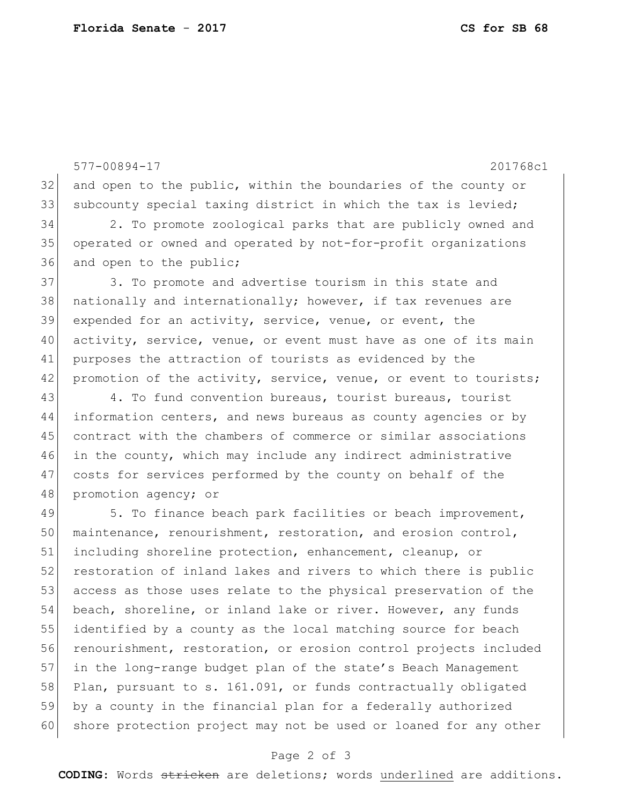32 and open to the public, within the boundaries of the county or 33 subcounty special taxing district in which the tax is levied; 34 2. To promote zoological parks that are publicly owned and 35| operated or owned and operated by not-for-profit organizations 36 and open to the public; 37 3. To promote and advertise tourism in this state and 38 nationally and internationally; however, if tax revenues are

577-00894-17 201768c1

 expended for an activity, service, venue, or event, the activity, service, venue, or event must have as one of its main purposes the attraction of tourists as evidenced by the 42 promotion of the activity, service, venue, or event to tourists;

 4. To fund convention bureaus, tourist bureaus, tourist information centers, and news bureaus as county agencies or by contract with the chambers of commerce or similar associations in the county, which may include any indirect administrative costs for services performed by the county on behalf of the 48 promotion agency; or

49 5. To finance beach park facilities or beach improvement, 50 maintenance, renourishment, restoration, and erosion control, 51 including shoreline protection, enhancement, cleanup, or 52 restoration of inland lakes and rivers to which there is public 53 access as those uses relate to the physical preservation of the 54 beach, shoreline, or inland lake or river. However, any funds 55 identified by a county as the local matching source for beach 56 renourishment, restoration, or erosion control projects included 57 in the long-range budget plan of the state's Beach Management 58 Plan, pursuant to s. 161.091, or funds contractually obligated 59 by a county in the financial plan for a federally authorized 60 shore protection project may not be used or loaned for any other

## Page 2 of 3

**CODING**: Words stricken are deletions; words underlined are additions.